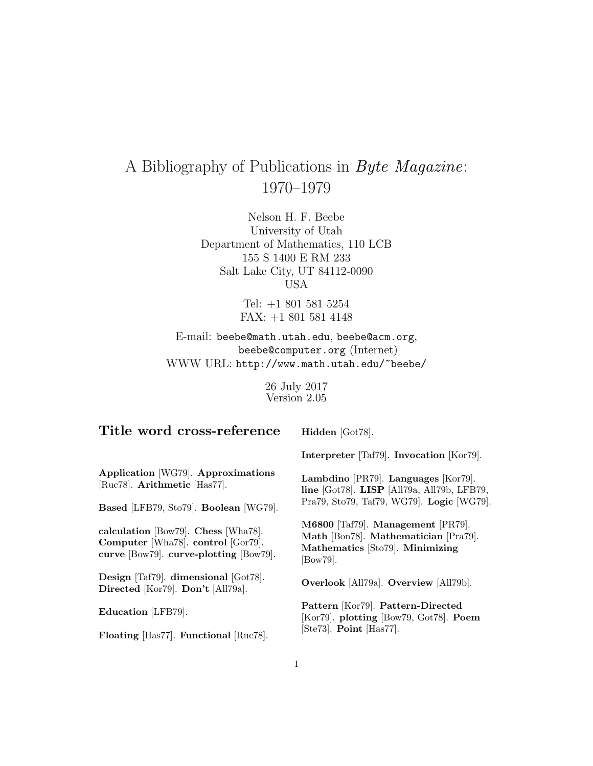# A Bibliography of Publications in Byte Magazine: 1970–1979

Nelson H. F. Beebe University of Utah Department of Mathematics, 110 LCB 155 S 1400 E RM 233 Salt Lake City, UT 84112-0090 USA

> Tel: +1 801 581 5254 FAX: +1 801 581 4148

E-mail: beebe@math.utah.edu, beebe@acm.org, beebe@computer.org (Internet) WWW URL: http://www.math.utah.edu/~beebe/

> 26 July 2017 Version 2.05

| Title word cross-reference                                                                                          | Hidden [Got78].                                                                                                                               |
|---------------------------------------------------------------------------------------------------------------------|-----------------------------------------------------------------------------------------------------------------------------------------------|
|                                                                                                                     | Interpreter [Taf79]. Invocation [Kor79].                                                                                                      |
| Application [WG79]. Approximations<br>[Ruc78]. Arithmetic [Has77].                                                  | Lambdino [PR79]. Languages [Kor79].<br>line [ $Got78$ ]. LISP [All $79a$ , All $79b$ , LFB $79$ ,<br>Pra79, Sto79, Taf79, WG79. Logic [WG79]. |
| Based [LFB79, Sto79]. Boolean [WG79].                                                                               |                                                                                                                                               |
| calculation [Bow79]. Chess [Wha78].<br>Computer [Wha78]. control [Gor79].<br>curve [Bow79]. curve-plotting [Bow79]. | M6800 [Taf79]. Management [PR79].<br>Math [Bon78]. Mathematician [Pra79].<br>Mathematics [Sto79]. Minimizing<br>$\left[Box 79\right]$ .       |
| Design [Taf79]. dimensional [Got78].<br>Directed [Kor79]. Don't [All79a].                                           | <b>Overlook</b> [All79a]. <b>Overview</b> [All79b].                                                                                           |
| Education [LFB79].                                                                                                  | Pattern [Kor79]. Pattern-Directed<br>[Kor79]. plotting [Bow79, Got78]. Poem<br>$[Ste73]$ . Point $[Has77]$ .                                  |
| Floating [Has77]. Functional [Ruc78].                                                                               |                                                                                                                                               |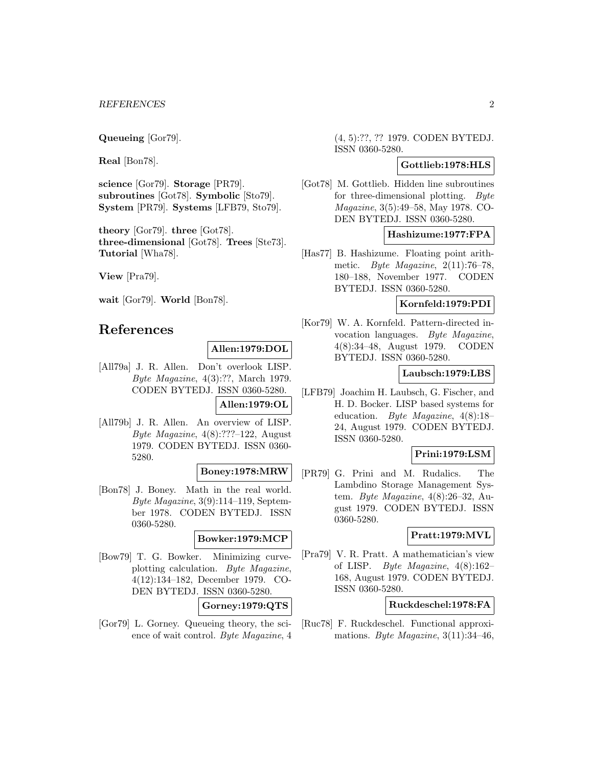**Queueing** [Gor79].

**Real** [Bon78].

**science** [Gor79]. **Storage** [PR79]. **subroutines** [Got78]. **Symbolic** [Sto79]. **System** [PR79]. **Systems** [LFB79, Sto79].

**theory** [Gor79]. **three** [Got78]. **three-dimensional** [Got78]. **Trees** [Ste73]. **Tutorial** [Wha78].

**View** [Pra79].

**wait** [Gor79]. **World** [Bon78].

# **References**

# **Allen:1979:DOL**

[All79a] J. R. Allen. Don't overlook LISP. Byte Magazine, 4(3):??, March 1979. CODEN BYTEDJ. ISSN 0360-5280.

# **Allen:1979:OL**

[All79b] J. R. Allen. An overview of LISP. Byte Magazine, 4(8):???–122, August 1979. CODEN BYTEDJ. ISSN 0360- 5280.

# **Boney:1978:MRW**

[Bon78] J. Boney. Math in the real world. Byte Magazine, 3(9):114–119, September 1978. CODEN BYTEDJ. ISSN 0360-5280.

# **Bowker:1979:MCP**

[Bow79] T. G. Bowker. Minimizing curveplotting calculation. Byte Magazine, 4(12):134–182, December 1979. CO-DEN BYTEDJ. ISSN 0360-5280.

# **Gorney:1979:QTS**

[Gor79] L. Gorney. Queueing theory, the science of wait control. Byte Magazine, 4

(4, 5):??, ?? 1979. CODEN BYTEDJ. ISSN 0360-5280.

# **Gottlieb:1978:HLS**

[Got78] M. Gottlieb. Hidden line subroutines for three-dimensional plotting. Byte Magazine, 3(5):49–58, May 1978. CO-DEN BYTEDJ. ISSN 0360-5280.

# **Hashizume:1977:FPA**

[Has77] B. Hashizume. Floating point arithmetic. Byte Magazine,  $2(11):76-78$ , 180–188, November 1977. CODEN BYTEDJ. ISSN 0360-5280.

# **Kornfeld:1979:PDI**

[Kor79] W. A. Kornfeld. Pattern-directed invocation languages. Byte Magazine, 4(8):34–48, August 1979. CODEN BYTEDJ. ISSN 0360-5280.

# **Laubsch:1979:LBS**

[LFB79] Joachim H. Laubsch, G. Fischer, and H. D. Bocker. LISP based systems for education. Byte Magazine, 4(8):18– 24, August 1979. CODEN BYTEDJ. ISSN 0360-5280.

#### **Prini:1979:LSM**

[PR79] G. Prini and M. Rudalics. The Lambdino Storage Management System. Byte Magazine,  $4(8):26-32$ , August 1979. CODEN BYTEDJ. ISSN 0360-5280.

#### **Pratt:1979:MVL**

[Pra79] V. R. Pratt. A mathematician's view of LISP. *Byte Magazine*,  $4(8):162-$ 168, August 1979. CODEN BYTEDJ. ISSN 0360-5280.

# **Ruckdeschel:1978:FA**

[Ruc78] F. Ruckdeschel. Functional approximations. Byte Magazine,  $3(11):34-46$ ,